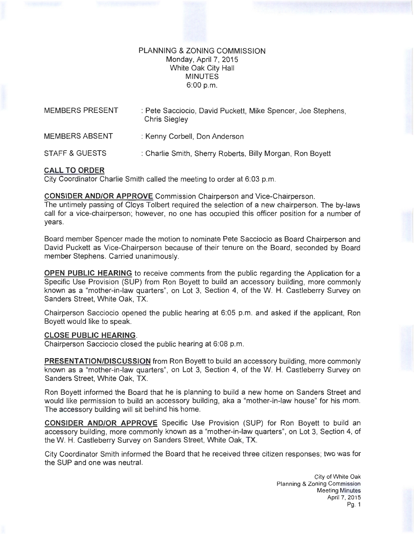## PLANNING & ZONING COMMISSION Monday, April?, 2015 White Oak City Hall MINUTES 6:00 p.m.

| <b>MEMBERS PRESENT</b>    | : Pete Sacciocio, David Puckett, Mike Spencer, Joe Stephens,<br><b>Chris Siegley</b> |
|---------------------------|--------------------------------------------------------------------------------------|
| <b>MEMBERS ABSENT</b>     | : Kenny Corbell, Don Anderson                                                        |
| <b>STAFF &amp; GUESTS</b> | : Charlie Smith, Sherry Roberts, Billy Morgan, Ron Boyett                            |

# **CALL TO ORDER**

City Coordinator Charlie Smith called the meeting to order at 6:03 p.m.

### **CONSIDER AND/OR APPROVE** Commission Chairperson and Vice-Chairperson.

The untimely passing of Cloys Tolbert required the selection of a new chairperson. The by-laws call for a vice-chairperson; however, no one has occupied this officer position for a number of years.

Board member Spencer made the motion to nominate Pete Sacciocio as Board Chairperson and David Puckett as Vice-Chairperson because of their tenure on the Board, seconded by Board member Stephens. Carried unanimously.

**OPEN PUBLIC HEARING** to receive comments from the public regarding the Application for a Specific Use Provision (SUP) from Ron Boyett to build an accessory building, more commonly known as a "mother-in-law quarters", on Lot 3, Section 4, of theW. H. Castleberry Survey on Sanders Street, White Oak, TX.

Chairperson Sacciocio opened the public hearing at 6:05 p.m. and asked if the applicant, Ron Boyett would like to speak.

### **CLOSE PUBLIC HEARING.**

Chairperson Sacciocio closed the public hearing at 6:08 p.m.

**PRESENTATION/DISCUSSION** from Ron Boyett to build an accessory building, more commonly known as a "mother-in-law quarters", on Lot 3, Section 4, of the W. H. Castleberry Survey on Sanders Street, White Oak, TX.

Ron Boyett informed the Board that he is planning to build a new home on Sanders Street and would like permission to build an accessory building, aka a "mother-in-law house" for his mom. The accessory building will sit behind his home.

**CONSIDER AND/OR APPROVE** Specific Use Provision (SUP) for Ron Boyett to build an accessory building, more commonly known as a "mother-in-law quarters", on Lot 3, Section 4, of theW. H. Castleberry Survey on Sanders Street, White Oak, TX.

City Coordinator Smith informed the Board that he received three citizen responses; two was for the SUP and one was neutral.

> City of White Oak Planning & Zoning Commission Meeting Minutes April 7, 2015 Pg. 1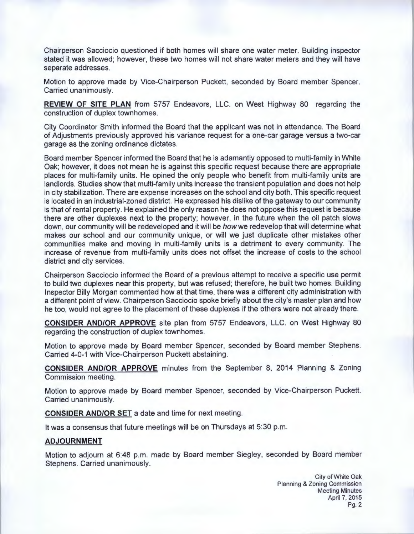Chairperson Sacciocio questioned if both homes will share one water meter. Building inspector stated it was allowed; however, these two homes will not share water meters and they will have separate addresses.

Motion to approve made by Vice-Chairperson Puckett, seconded by Board member Spencer. Carried unanimously.

**REVIEW OF SITE PLAN** from 5757 Endeavors, LLC. on West Highway 80 regarding the construction of duplex townhomes .

City Coordinator Smith informed the Board that the applicant was not in attendance. The Board of Adjustments previously approved his variance request for a one-car garage versus a two-car garage as the zoning ordinance dictates.

Board member Spencer informed the Board that he is adamantly opposed to multi-family in White Oak; however, it does not mean he is against this specific request because there are appropriate places for multi-family units. He opined the only people who benefit from multi-family units are landlords. Studies show that multi-family units increase the transient population and does not help in city stabilization. There are expense increases on the school and city both. This specific request is located in an industrial-zoned district. He expressed his dislike of the gateway to our community is that of rental property. He explained the only reason he does not oppose this request is because there are other duplexes next to the property; however, in the future when the oil patch slows down, our community will be redeveloped and it will be how we redevelop that will determine what makes our school and our community unique, or will we just duplicate other mistakes other communities make and moving in multi-family units is a detriment to every community. The increase of revenue from multi-family units does not offset the increase of costs to the school district and city services.

Chairperson Sacciocio informed the Board of a previous attempt to receive a specific use permit to build two duplexes near this property, but was refused; therefore, he built two homes. Building Inspector Billy Morgan commented how at that time, there was a different city administration with a different point of view. Chairperson Sacciocio spoke briefly about the city's master plan and how he too, would not agree to the placement of these duplexes if the others were not already there.

**CONSIDER AND/OR APPROVE** site plan from 5757 Endeavors, LLC. on West Highway 80 regarding the construction of duplex townhomes.

Motion to approve made by Board member Spencer, seconded by Board member Stephens. Carried 4-0-1 with Vice-Chairperson Puckett abstaining.

**CONSIDER AND/OR APPROVE** minutes from the September 8, 2014 Planning & Zoning Commission meeting.

Motion to approve made by Board member Spencer, seconded by Vice-Chairperson Puckett. Carried unanimously.

**CONSIDER AND/OR SET** a date and time for next meeting.

It was a consensus that future meetings will be on Thursdays at 5:30 p.m.

#### **ADJOURNMENT**

Motion to adjourn at 6:48 p.m. made by Board member Siegley, seconded by Board member Stephens. Carried unanimously.